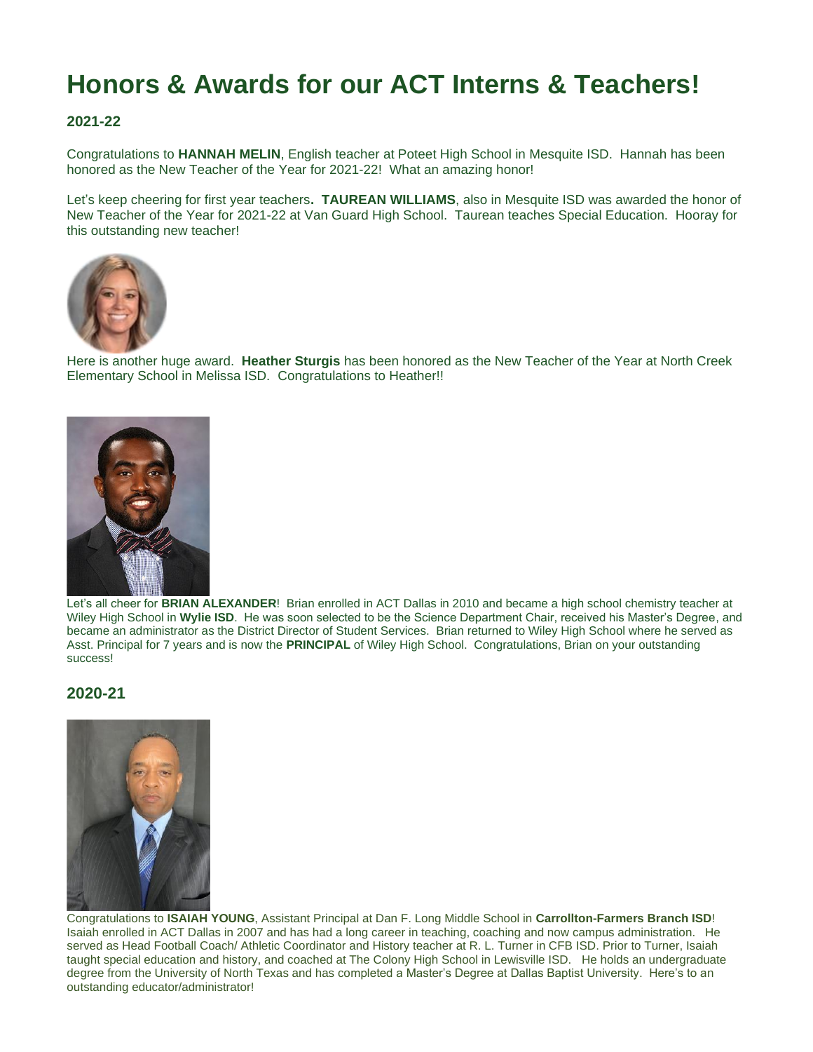# **Honors & Awards for our ACT Interns & Teachers!**

## **2021-22**

Congratulations to **HANNAH MELIN**, English teacher at Poteet High School in Mesquite ISD. Hannah has been honored as the New Teacher of the Year for 2021-22! What an amazing honor!

Let's keep cheering for first year teachers**. TAUREAN WILLIAMS**, also in Mesquite ISD was awarded the honor of New Teacher of the Year for 2021-22 at Van Guard High School. Taurean teaches Special Education. Hooray for this outstanding new teacher!



Here is another huge award. **Heather Sturgis** has been honored as the New Teacher of the Year at North Creek Elementary School in Melissa ISD. Congratulations to Heather!!



Let's all cheer for **BRIAN ALEXANDER**! Brian enrolled in ACT Dallas in 2010 and became a high school chemistry teacher at Wiley High School in **Wylie ISD**. He was soon selected to be the Science Department Chair, received his Master's Degree, and became an administrator as the District Director of Student Services. Brian returned to Wiley High School where he served as Asst. Principal for 7 years and is now the **PRINCIPAL** of Wiley High School. Congratulations, Brian on your outstanding success!

# **2020-21**



Congratulations to **ISAIAH YOUNG**, Assistant Principal at Dan F. Long Middle School in **Carrollton-Farmers Branch ISD**! Isaiah enrolled in ACT Dallas in 2007 and has had a long career in teaching, coaching and now campus administration. He served as Head Football Coach/ Athletic Coordinator and History teacher at R. L. Turner in CFB ISD. Prior to Turner, Isaiah taught special education and history, and coached at The Colony High School in Lewisville ISD. He holds an undergraduate degree from the University of North Texas and has completed a Master's Degree at Dallas Baptist University. Here's to an outstanding educator/administrator!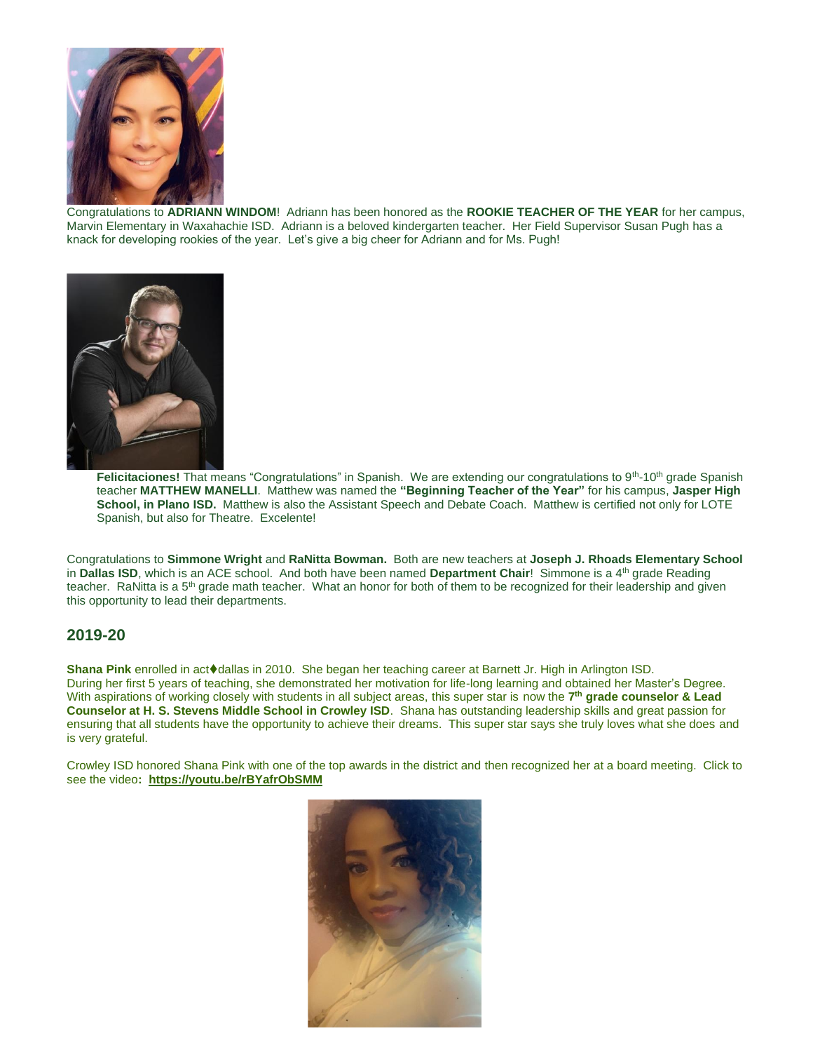

Congratulations to **ADRIANN WINDOM**! Adriann has been honored as the **ROOKIE TEACHER OF THE YEAR** for her campus, Marvin Elementary in Waxahachie ISD. Adriann is a beloved kindergarten teacher. Her Field Supervisor Susan Pugh has a knack for developing rookies of the year. Let's give a big cheer for Adriann and for Ms. Pugh!



Felicitaciones! That means "Congratulations" in Spanish. We are extending our congratulations to 9<sup>th</sup>-10<sup>th</sup> grade Spanish teacher **MATTHEW MANELLI**. Matthew was named the **"Beginning Teacher of the Year"** for his campus, **Jasper High School, in Plano ISD.** Matthew is also the Assistant Speech and Debate Coach. Matthew is certified not only for LOTE Spanish, but also for Theatre. Excelente!

Congratulations to **Simmone Wright** and **RaNitta Bowman.** Both are new teachers at **Joseph J. Rhoads Elementary School** in **Dallas ISD**, which is an ACE school. And both have been named **Department Chair!** Simmone is a 4<sup>th</sup> grade Reading teacher. RaNitta is a 5<sup>th</sup> grade math teacher. What an honor for both of them to be recognized for their leadership and given this opportunity to lead their departments.

### **2019-20**

**Shana Pink** enrolled in act♦dallas in 2010. She began her teaching career at Barnett Jr. High in Arlington ISD. During her first 5 years of teaching, she demonstrated her motivation for life-long learning and obtained her Master's Degree. With aspirations of working closely with students in all subject areas, this super star is now the 7<sup>th</sup> grade counselor & Lead **Counselor at H. S. Stevens Middle School in Crowley ISD**. Shana has outstanding leadership skills and great passion for ensuring that all students have the opportunity to achieve their dreams. This super star says she truly loves what she does and is very grateful.

Crowley ISD honored Shana Pink with one of the top awards in the district and then recognized her at a board meeting. Click to see the video**: <https://youtu.be/rBYafrObSMM>**

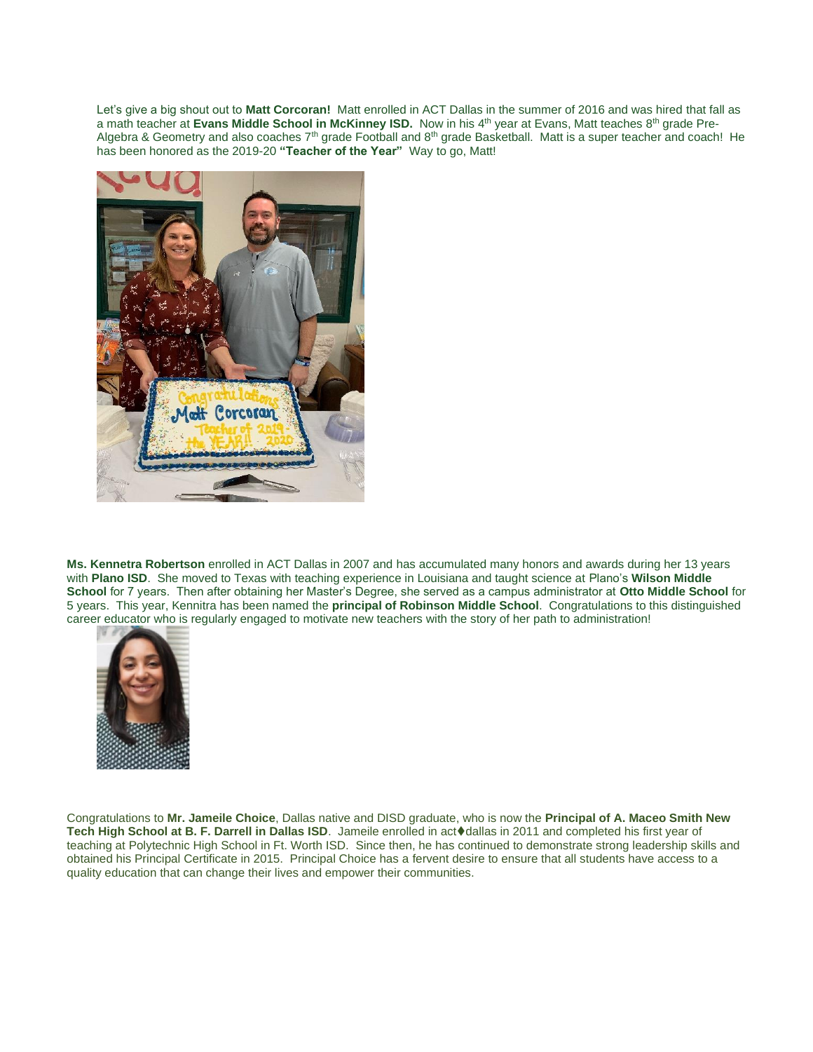Let's give a big shout out to **Matt Corcoran!** Matt enrolled in ACT Dallas in the summer of 2016 and was hired that fall as a math teacher at **Evans Middle School in McKinney ISD.** Now in his 4th year at Evans, Matt teaches 8th grade Pre-Algebra & Geometry and also coaches  $7<sup>th</sup>$  grade Football and  $8<sup>th</sup>$  grade Basketball. Matt is a super teacher and coach! He has been honored as the 2019-20 **"Teacher of the Year"** Way to go, Matt!



**Ms. Kennetra Robertson** enrolled in ACT Dallas in 2007 and has accumulated many honors and awards during her 13 years with **Plano ISD**. She moved to Texas with teaching experience in Louisiana and taught science at Plano's **Wilson Middle School** for 7 years. Then after obtaining her Master's Degree, she served as a campus administrator at **Otto Middle School** for 5 years. This year, Kennitra has been named the **principal of Robinson Middle School**. Congratulations to this distinguished career educator who is regularly engaged to motivate new teachers with the story of her path to administration!



Congratulations to **Mr. Jameile Choice**, Dallas native and DISD graduate, who is now the **Principal of A. Maceo Smith New**  Tech High School at B. F. Darrell in Dallas ISD. Jameile enrolled in act♦dallas in 2011 and completed his first year of teaching at Polytechnic High School in Ft. Worth ISD. Since then, he has continued to demonstrate strong leadership skills and obtained his Principal Certificate in 2015. Principal Choice has a fervent desire to ensure that all students have access to a quality education that can change their lives and empower their communities.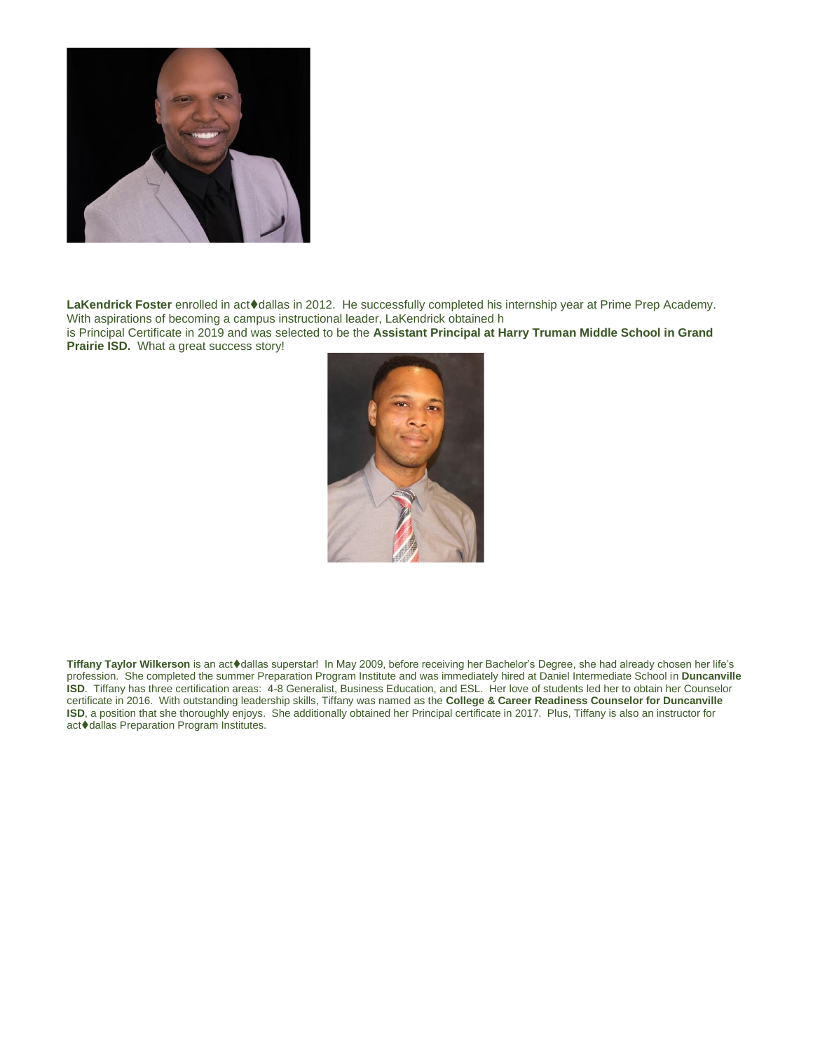

**LaKendrick Foster** enrolled in act⧫dallas in 2012. He successfully completed his internship year at Prime Prep Academy. With aspirations of becoming a campus instructional leader, LaKendrick obtained h

is Principal Certificate in 2019 and was selected to be the **Assistant Principal at Harry Truman Middle School in Grand Prairie ISD.** What a great success story!



**Tiffany Taylor Wilkerson** is an act⧫dallas superstar! In May 2009, before receiving her Bachelor's Degree, she had already chosen her life's profession. She completed the summer Preparation Program Institute and was immediately hired at Daniel Intermediate School in **Duncanville ISD**. Tiffany has three certification areas: 4-8 Generalist, Business Education, and ESL. Her love of students led her to obtain her Counselor certificate in 2016. With outstanding leadership skills, Tiffany was named as the **College & Career Readiness Counselor for Duncanville ISD**, a position that she thoroughly enjoys. She additionally obtained her Principal certificate in 2017. Plus, Tiffany is also an instructor for act⧫dallas Preparation Program Institutes.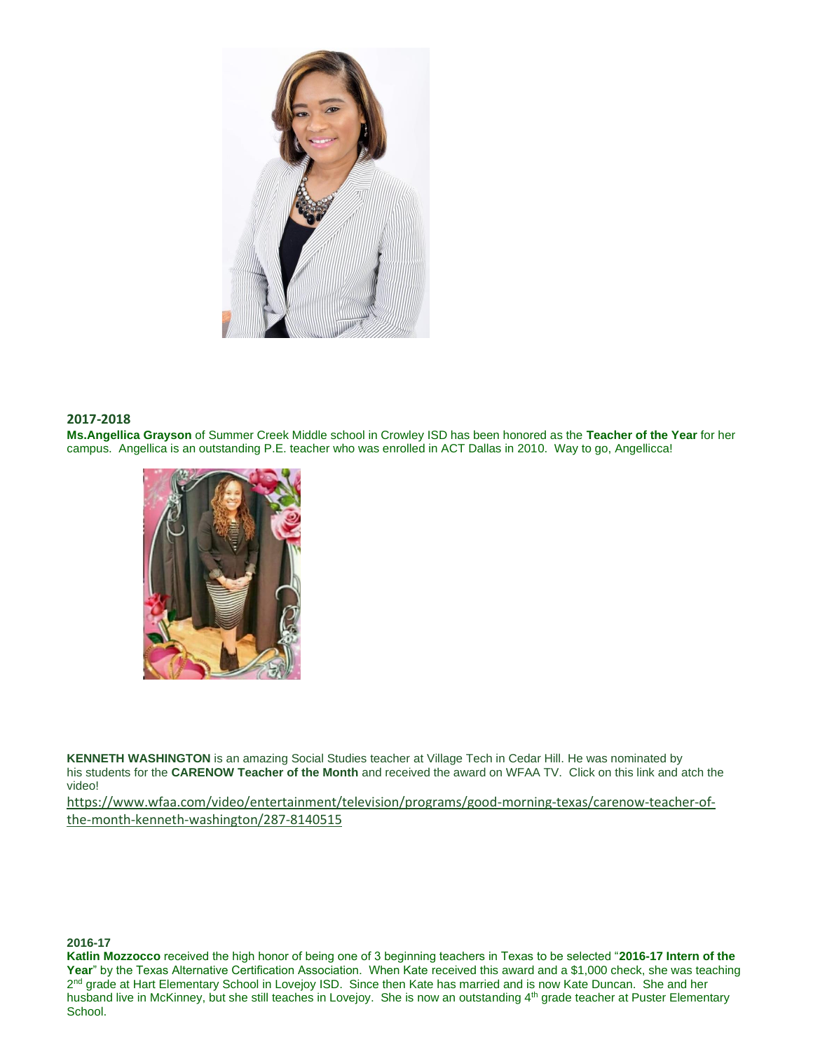

#### **2017-2018**

**Ms.Angellica Grayson** of Summer Creek Middle school in Crowley ISD has been honored as the **Teacher of the Year** for her campus. Angellica is an outstanding P.E. teacher who was enrolled in ACT Dallas in 2010. Way to go, Angellicca!



**KENNETH WASHINGTON** is an amazing Social Studies teacher at Village Tech in Cedar Hill. He was nominated by his students for the **CARENOW Teacher of the Month** and received the award on WFAA TV. Click on this link and atch the video!

[https://www.wfaa.com/video/entertainment/television/programs/good-morning-texas/carenow-teacher-of](https://www.wfaa.com/video/entertainment/television/programs/good-morning-texas/carenow-teacher-of-the-month-kenneth-washington/287-8140515)[the-month-kenneth-washington/287-8140515](https://www.wfaa.com/video/entertainment/television/programs/good-morning-texas/carenow-teacher-of-the-month-kenneth-washington/287-8140515)

#### **2016-17**

**Katlin Mozzocco** received the high honor of being one of 3 beginning teachers in Texas to be selected "**2016-17 Intern of the**  Year" by the Texas Alternative Certification Association. When Kate received this award and a \$1,000 check, she was teaching 2<sup>nd</sup> grade at Hart Elementary School in Lovejoy ISD. Since then Kate has married and is now Kate Duncan. She and her husband live in McKinney, but she still teaches in Lovejoy. She is now an outstanding 4<sup>th</sup> grade teacher at Puster Elementary School.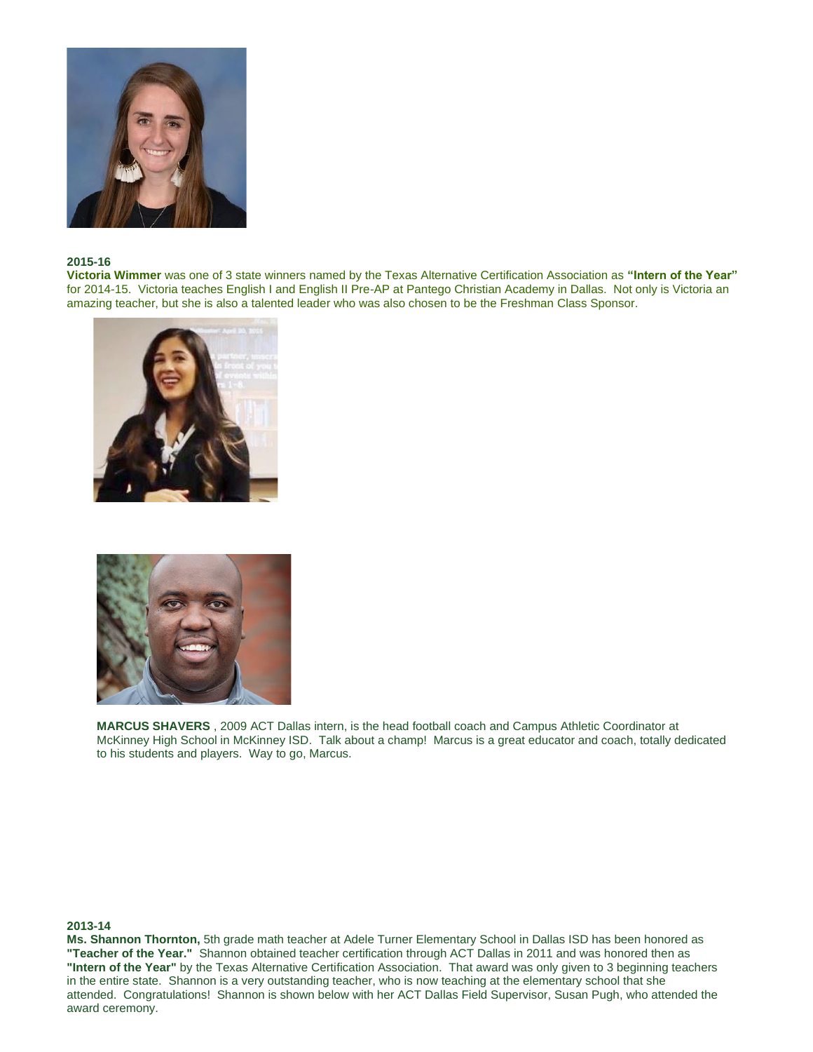

#### **2015-16**

**Victoria Wimmer** was one of 3 state winners named by the Texas Alternative Certification Association as **"Intern of the Year"** for 2014-15. Victoria teaches English I and English II Pre-AP at Pantego Christian Academy in Dallas. Not only is Victoria an amazing teacher, but she is also a talented leader who was also chosen to be the Freshman Class Sponsor.





**MARCUS SHAVERS** , 2009 ACT Dallas intern, is the head football coach and Campus Athletic Coordinator at McKinney High School in McKinney ISD. Talk about a champ! Marcus is a great educator and coach, totally dedicated to his students and players. Way to go, Marcus.

#### **2013-14**

**Ms. Shannon Thornton,** 5th grade math teacher at Adele Turner Elementary School in Dallas ISD has been honored as **"Teacher of the Year."** Shannon obtained teacher certification through ACT Dallas in 2011 and was honored then as **"Intern of the Year"** by the Texas Alternative Certification Association. That award was only given to 3 beginning teachers in the entire state. Shannon is a very outstanding teacher, who is now teaching at the elementary school that she attended. Congratulations! Shannon is shown below with her ACT Dallas Field Supervisor, Susan Pugh, who attended the award ceremony.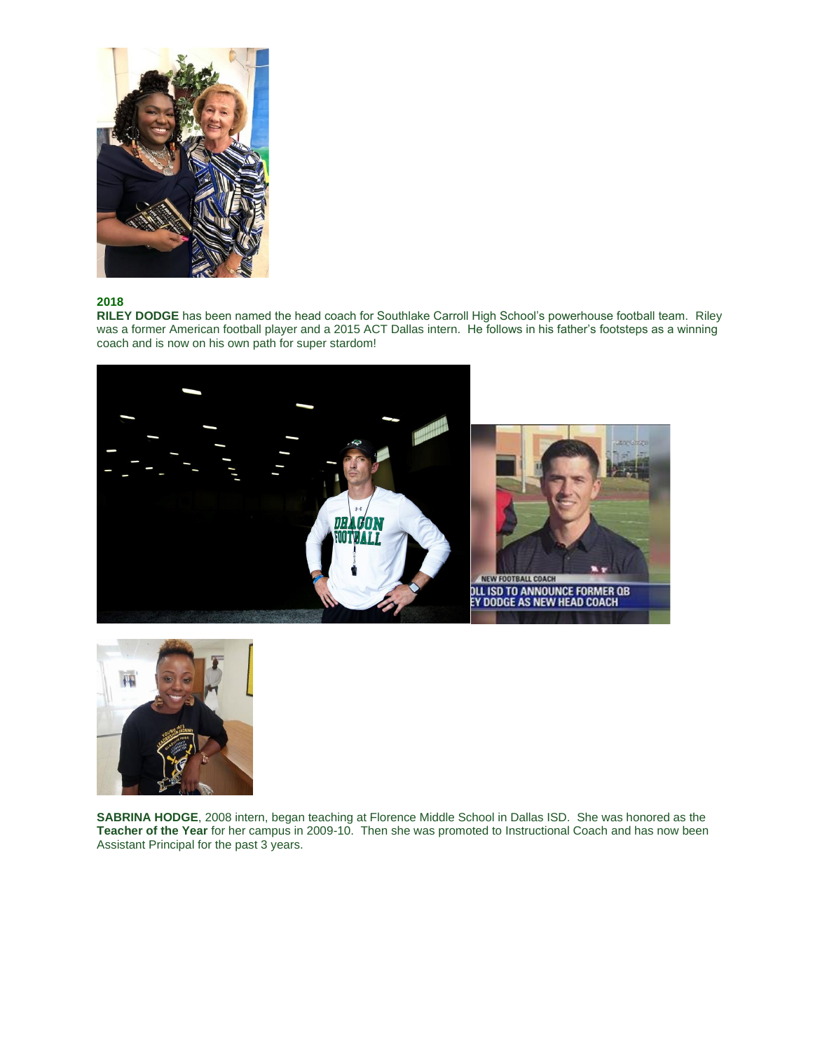

#### **2018**

**RILEY DODGE** has been named the head coach for Southlake Carroll High School's powerhouse football team. Riley was a former American football player and a 2015 ACT Dallas intern. He follows in his father's footsteps as a winning coach and is now on his own path for super stardom!





**SABRINA HODGE**, 2008 intern, began teaching at Florence Middle School in Dallas ISD. She was honored as the **Teacher of the Year** for her campus in 2009-10. Then she was promoted to Instructional Coach and has now been Assistant Principal for the past 3 years.